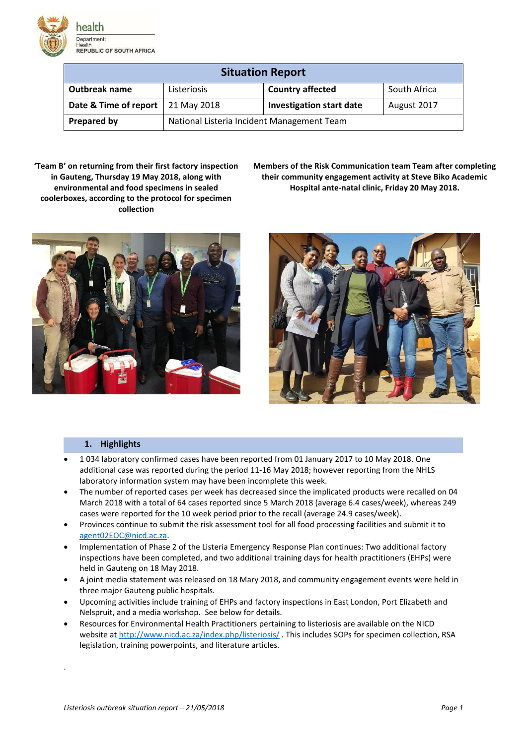

| <b>Situation Report</b> |                                            |                                 |              |  |
|-------------------------|--------------------------------------------|---------------------------------|--------------|--|
| Outbreak name           | Listeriosis                                | <b>Country affected</b>         | South Africa |  |
| Date & Time of report   | 21 May 2018                                | <b>Investigation start date</b> | August 2017  |  |
| <b>Prepared by</b>      | National Listeria Incident Management Team |                                 |              |  |

**'Team B' on returning from their first factory inspection in Gauteng, Thursday 19 May 2018, along with environmental and food specimens in sealed coolerboxes, according to the protocol for specimen collection**

**Members of the Risk Communication team Team after completing their community engagement activity at Steve Biko Academic Hospital ante-natal clinic, Friday 20 May 2018.** 





# **1. Highlights**

- 1 034 laboratory confirmed cases have been reported from 01 January 2017 to 10 May 2018. One additional case was reported during the period 11-16 May 2018; however reporting from the NHLS laboratory information system may have been incomplete this week.
- The number of reported cases per week has decreased since the implicated products were recalled on 04 March 2018 with a total of 64 cases reported since 5 March 2018 (average 6.4 cases/week), whereas 249 cases were reported for the 10 week period prior to the recall (average 24.9 cases/week).
- Provinces continue to submit the risk assessment tool for all food processing facilities and submit it to [agent02EOC@nicd.ac.za.](mailto:agent02EOC@nicd.ac.za)
- Implementation of Phase 2 of the Listeria Emergency Response Plan continues: Two additional factory inspections have been completed, and two additional training days for health practitioners (EHPs) were held in Gauteng on 18 May 2018.
- A joint media statement was released on 18 Mary 2018, and community engagement events were held in three major Gauteng public hospitals.
- Upcoming activities include training of EHPs and factory inspections in East London, Port Elizabeth and Nelspruit, and a media workshop. See below for details.
- Resources for Environmental Health Practitioners pertaining to listeriosis are available on the NICD website a[t http://www.nicd.ac.za/index.php/listeriosis/](http://www.nicd.ac.za/index.php/listeriosis/) . This includes SOPs for specimen collection, RSA legislation, training powerpoints, and literature articles.

.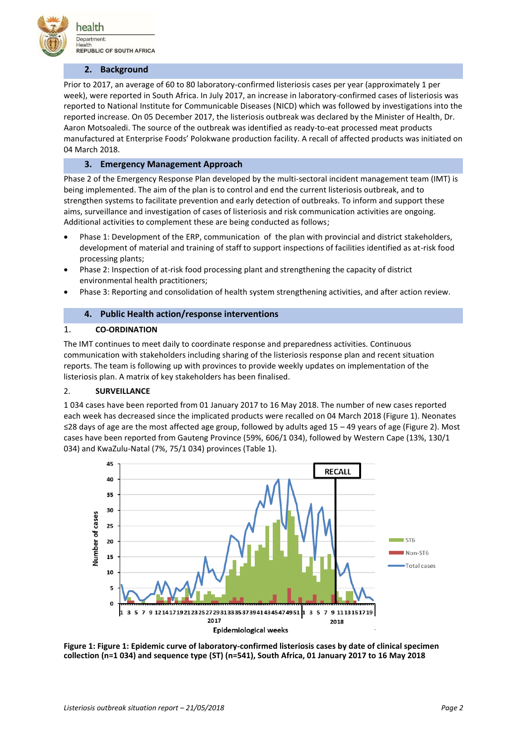

## **2. Background**

Prior to 2017, an average of 60 to 80 laboratory-confirmed listeriosis cases per year (approximately 1 per week), were reported in South Africa. In July 2017, an increase in laboratory-confirmed cases of listeriosis was reported to National Institute for Communicable Diseases (NICD) which was followed by investigations into the reported increase. On 05 December 2017, the listeriosis outbreak was declared by the Minister of Health, Dr. Aaron Motsoaledi. The source of the outbreak was identified as ready-to-eat processed meat products manufactured at Enterprise Foods' Polokwane production facility. A recall of affected products was initiated on 04 March 2018.

## **3. Emergency Management Approach**

Phase 2 of the Emergency Response Plan developed by the multi-sectoral incident management team (IMT) is being implemented. The aim of the plan is to control and end the current listeriosis outbreak, and to strengthen systems to facilitate prevention and early detection of outbreaks. To inform and support these aims, surveillance and investigation of cases of listeriosis and risk communication activities are ongoing. Additional activities to complement these are being conducted as follows;

- Phase 1: Development of the ERP, communication of the plan with provincial and district stakeholders, development of material and training of staff to support inspections of facilities identified as at-risk food processing plants;
- Phase 2: Inspection of at-risk food processing plant and strengthening the capacity of district environmental health practitioners;
- Phase 3: Reporting and consolidation of health system strengthening activities, and after action review.

## **4. Public Health action/response interventions**

### 1. **CO-ORDINATION**

The IMT continues to meet daily to coordinate response and preparedness activities. Continuous communication with stakeholders including sharing of the listeriosis response plan and recent situation reports. The team is following up with provinces to provide weekly updates on implementation of the listeriosis plan. A matrix of key stakeholders has been finalised.

#### 2. **SURVEILLANCE**

1 034 cases have been reported from 01 January 2017 to 16 May 2018. The number of new cases reported each week has decreased since the implicated products were recalled on 04 March 2018 (Figure 1). Neonates ≤28 days of age are the most affected age group, followed by adults aged 15 – 49 years of age (Figure 2). Most cases have been reported from Gauteng Province (59%, 606/1 034), followed by Western Cape (13%, 130/1 034) and KwaZulu-Natal (7%, 75/1 034) provinces (Table 1).



**Figure 1: Figure 1: Epidemic curve of laboratory-confirmed listeriosis cases by date of clinical specimen collection (n=1 034) and sequence type (ST) (n=541), South Africa, 01 January 2017 to 16 May 2018**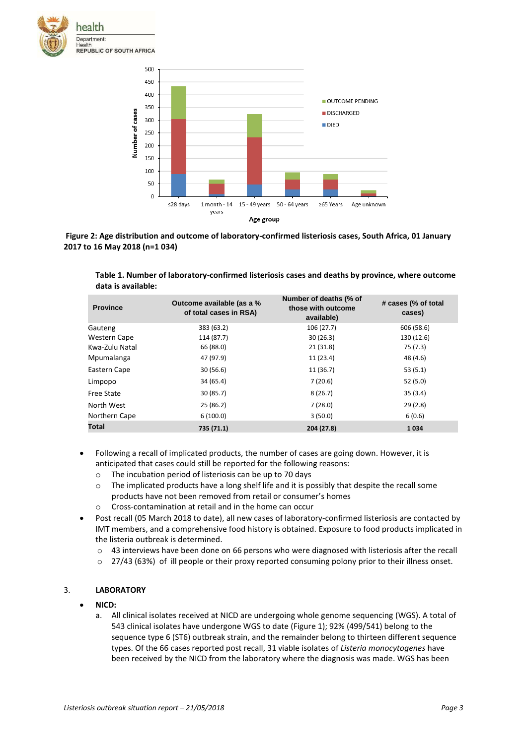



**Figure 2: Age distribution and outcome of laboratory-confirmed listeriosis cases, South Africa, 01 January 2017 to 16 May 2018 (n=1 034)** 

**Table 1. Number of laboratory-confirmed listeriosis cases and deaths by province, where outcome data is available:**

| <b>Province</b>   | Outcome available (as a %<br>of total cases in RSA) | Number of deaths (% of<br>those with outcome<br>available) | # cases (% of total<br>cases) |
|-------------------|-----------------------------------------------------|------------------------------------------------------------|-------------------------------|
| Gauteng           | 383 (63.2)                                          | 106 (27.7)                                                 | 606 (58.6)                    |
| Western Cape      | 114 (87.7)                                          | 30(26.3)                                                   | 130 (12.6)                    |
| Kwa-Zulu Natal    | 66 (88.0)                                           | 21(31.8)                                                   | 75 (7.3)                      |
| Mpumalanga        | 47 (97.9)                                           | 11(23.4)                                                   | 48 (4.6)                      |
| Eastern Cape      | 30(56.6)                                            | 11(36.7)                                                   | 53(5.1)                       |
| Limpopo           | 34 (65.4)                                           | 7(20.6)                                                    | 52(5.0)                       |
| <b>Free State</b> | 30(85.7)                                            | 8(26.7)                                                    | 35(3.4)                       |
| North West        | 25(86.2)                                            | 7(28.0)                                                    | 29(2.8)                       |
| Northern Cape     | 6(100.0)                                            | 3(50.0)                                                    | 6(0.6)                        |
| Total             | 735 (71.1)                                          | 204 (27.8)                                                 | 1034                          |
|                   |                                                     |                                                            |                               |

- Following a recall of implicated products, the number of cases are going down. However, it is anticipated that cases could still be reported for the following reasons:
	- o The incubation period of listeriosis can be up to 70 days
	- o The implicated products have a long shelf life and it is possibly that despite the recall some products have not been removed from retail or consumer's homes
	- o Cross-contamination at retail and in the home can occur
- Post recall (05 March 2018 to date), all new cases of laboratory-confirmed listeriosis are contacted by IMT members, and a comprehensive food history is obtained. Exposure to food products implicated in the listeria outbreak is determined.
	- $\circ$  43 interviews have been done on 66 persons who were diagnosed with listeriosis after the recall
	- o 27/43 (63%) of ill people or their proxy reported consuming polony prior to their illness onset.

## 3. **LABORATORY**

#### **NICD:**

a. All clinical isolates received at NICD are undergoing whole genome sequencing (WGS). A total of 543 clinical isolates have undergone WGS to date (Figure 1); 92% (499/541) belong to the sequence type 6 (ST6) outbreak strain, and the remainder belong to thirteen different sequence types. Of the 66 cases reported post recall, 31 viable isolates of *Listeria monocytogenes* have been received by the NICD from the laboratory where the diagnosis was made. WGS has been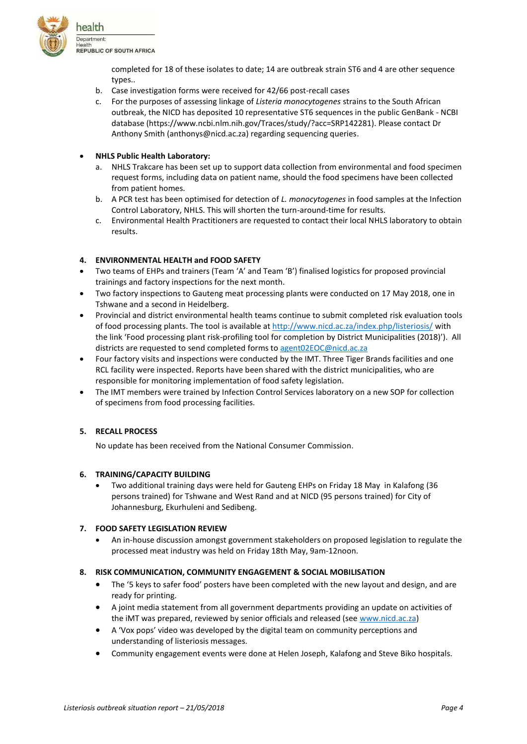![](_page_3_Picture_0.jpeg)

completed for 18 of these isolates to date; 14 are outbreak strain ST6 and 4 are other sequence types..

- b. Case investigation forms were received for 42/66 post-recall cases
- c. For the purposes of assessing linkage of *Listeria monocytogenes* strains to the South African outbreak, the NICD has deposited 10 representative ST6 sequences in the public GenBank - NCBI database (https://www.ncbi.nlm.nih.gov/Traces/study/?acc=SRP142281). Please contact Dr Anthony Smith (anthonys@nicd.ac.za) regarding sequencing queries.

# **NHLS Public Health Laboratory:**

- a. NHLS Trakcare has been set up to support data collection from environmental and food specimen request forms, including data on patient name, should the food specimens have been collected from patient homes.
- b. A PCR test has been optimised for detection of *L. monocytogenes* in food samples at the Infection Control Laboratory, NHLS. This will shorten the turn-around-time for results.
- c. Environmental Health Practitioners are requested to contact their local NHLS laboratory to obtain results.

# **4. ENVIRONMENTAL HEALTH and FOOD SAFETY**

- Two teams of EHPs and trainers (Team 'A' and Team 'B') finalised logistics for proposed provincial trainings and factory inspections for the next month.
- Two factory inspections to Gauteng meat processing plants were conducted on 17 May 2018, one in Tshwane and a second in Heidelberg.
- Provincial and district environmental health teams continue to submit completed risk evaluation tools of food processing plants. The tool is available at<http://www.nicd.ac.za/index.php/listeriosis/> with the link 'Food processing plant risk-profiling tool for completion by District Municipalities (2018)'). All districts are requested to send completed forms to [agent02EOC@nicd.ac.za](mailto:agent02EOC@nicd.ac.za)
- Four factory visits and inspections were conducted by the IMT. Three Tiger Brands facilities and one RCL facility were inspected. Reports have been shared with the district municipalities, who are responsible for monitoring implementation of food safety legislation.
- The IMT members were trained by Infection Control Services laboratory on a new SOP for collection of specimens from food processing facilities.

## **5. RECALL PROCESS**

No update has been received from the National Consumer Commission.

## **6. TRAINING/CAPACITY BUILDING**

 Two additional training days were held for Gauteng EHPs on Friday 18 May in Kalafong (36 persons trained) for Tshwane and West Rand and at NICD (95 persons trained) for City of Johannesburg, Ekurhuleni and Sedibeng.

## **7. FOOD SAFETY LEGISLATION REVIEW**

 An in-house discussion amongst government stakeholders on proposed legislation to regulate the processed meat industry was held on Friday 18th May, 9am-12noon.

## **8. RISK COMMUNICATION, COMMUNITY ENGAGEMENT & SOCIAL MOBILISATION**

- The '5 keys to safer food' posters have been completed with the new layout and design, and are ready for printing.
- A joint media statement from all government departments providing an update on activities of the iMT was prepared, reviewed by senior officials and released (see [www.nicd.ac.za\)](http://www.nicd.ac.za/)
- A 'Vox pops' video was developed by the digital team on community perceptions and understanding of listeriosis messages.
- Community engagement events were done at Helen Joseph, Kalafong and Steve Biko hospitals.